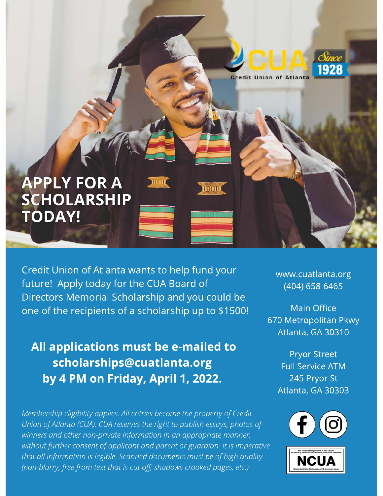

Credit Union of Atlanta wants to help fund your future! Apply today for the CUA Board of Directors Memorial Scholarship and you could be one of the recipients of a scholarship up to \$1500!

# All applications must be e-mailed to scholarships@cuatlanta.org by 4 PM on Friday, April 1, 2022.

Membership eligibility applies. All entries become the property of Credit Union of Atlanta (CUA). CUA reserves the right to publish essays, photos of winners and other non-private information in an appropriate manner, without further consent of applicant and parent or guardian. It is imperative that all information is legible. Scanned documents must be of high quality (non-blurry, free from text that is cut off, shadows crooked pages, etc.)

www.cuatlanta.org (404) 658-6465

**Main Office** 670 Metropolitan Pkwy Atlanta, GA 30310

> **Pryor Street Full Service ATM** 245 Pryor St Atlanta, GA 30303

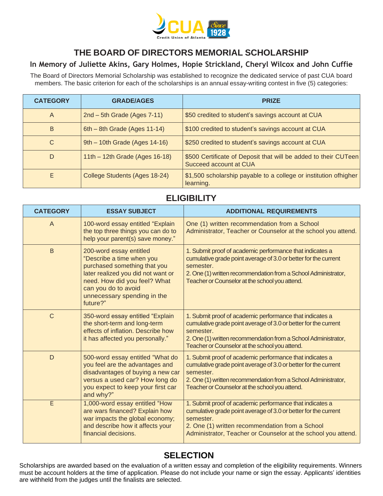

## **THE BOARD OF DIRECTORS MEMORIAL SCHOLARSHIP**

#### **In Memory of Juliette Akins, Gary Holmes, Hopie Strickland, Cheryl Wilcox and John Cuffie**

The Board of Directors Memorial Scholarship was established to recognize the dedicated service of past CUA board members. The basic criterion for each of the scholarships is an annual essay-writing contest in five (5) categories:

| <b>CATEGORY</b> | <b>GRADE/AGES</b>                | <b>PRIZE</b>                                                                              |
|-----------------|----------------------------------|-------------------------------------------------------------------------------------------|
| A               | $2nd - 5th$ Grade (Ages 7-11)    | \$50 credited to student's savings account at CUA                                         |
| B               | 6th - 8th Grade (Ages 11-14)     | \$100 credited to student's savings account at CUA                                        |
| C               | 9th - 10th Grade (Ages 14-16)    | \$250 credited to student's savings account at CUA                                        |
| D               | 11th $-$ 12th Grade (Ages 16-18) | \$500 Certificate of Deposit that will be added to their CUTeen<br>Succeed account at CUA |
| E.              | College Students (Ages 18-24)    | \$1,500 scholarship payable to a college or institution of higher<br>learning.            |

### **ELIGIBILITY**

| <b>CATEGORY</b> | <b>ESSAY SUBJECT</b>                                                                                                                                                                                                         | <b>ADDITIONAL REQUIREMENTS</b>                                                                                                                                                                                                                               |
|-----------------|------------------------------------------------------------------------------------------------------------------------------------------------------------------------------------------------------------------------------|--------------------------------------------------------------------------------------------------------------------------------------------------------------------------------------------------------------------------------------------------------------|
| $\overline{A}$  | 100-word essay entitled "Explain<br>the top three things you can do to<br>help your parent(s) save money."                                                                                                                   | One (1) written recommendation from a School<br>Administrator, Teacher or Counselor at the school you attend.                                                                                                                                                |
| $\overline{B}$  | 200-word essay entitled<br>"Describe a time when you<br>purchased something that you<br>later realized you did not want or<br>need. How did you feel? What<br>can you do to avoid<br>unnecessary spending in the<br>future?" | 1. Submit proof of academic performance that indicates a<br>cumulative grade point average of 3.0 or better for the current<br>semester.<br>2. One (1) written recommendation from a School Administrator,<br>Teacher or Counselor at the school you attend. |
| $\mathsf{C}$    | 350-word essay entitled "Explain<br>the short-term and long-term<br>effects of inflation. Describe how<br>it has affected you personally."                                                                                   | 1. Submit proof of academic performance that indicates a<br>cumulative grade point average of 3.0 or better for the current<br>semester.<br>2. One (1) written recommendation from a School Administrator,<br>Teacher or Counselor at the school you attend. |
| D               | 500-word essay entitled "What do<br>you feel are the advantages and<br>disadvantages of buying a new car<br>versus a used car? How long do<br>you expect to keep your first car<br>and why?"                                 | 1. Submit proof of academic performance that indicates a<br>cumulative grade point average of 3.0 or better for the current<br>semester.<br>2. One (1) written recommendation from a School Administrator,<br>Teacher or Counselor at the school you attend. |
| E               | 1,000-word essay entitled "How<br>are wars financed? Explain how<br>war impacts the global economy;<br>and describe how it affects your<br>financial decisions.                                                              | 1. Submit proof of academic performance that indicates a<br>cumulative grade point average of 3.0 or better for the current<br>semester.<br>2. One (1) written recommendation from a School<br>Administrator, Teacher or Counselor at the school you attend. |

## **SELECTION**

Scholarships are awarded based on the evaluation of a written essay and completion of the eligibility requirements. Winners must be account holders at the time of application. Please do not include your name or sign the essay. Applicants' identities are withheld from the judges until the finalists are selected.